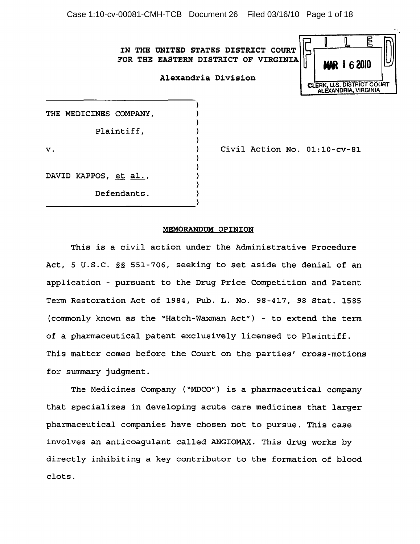Case 1:10-cv-00081-CMH-TCB Document 26 Filed 03/16/10 Page 1 of 18

IN THE UNITED STATES DISTRICT COURT FOR THE EASTERN DISTRICT OF VIRGINIA

) ) ) ) ) ) ) ) ) ) )

|                                                    |  | <b>MAR 1 6 2010</b> |  |  |
|----------------------------------------------------|--|---------------------|--|--|
| CLERK, U.S. DISTRICT COURT<br>ALEXANDRIA, VIRGINIA |  |                     |  |  |

THE MEDICINES COMPANY,

Plaintiff,

v.

Civil Action No. 01:10-cv-81

DAVID KAPPOS, et al.,

Defendants.

-----------------------------)

## MEMORANDUM OPINION

This is a civil action under the Administrative Procedure Act, 5 U.S.C. §§ 551-706, seeking to set aside the denial of an application - pursuant to the Drug Price Competition and Patent Term Restoration Act of 1984, Pub. L. No. 98-417, 98 Stat. 1585 (commonly known as the "Hatch-Waxman Act") - to extend the term of a pharmaceutical patent exclusively licensed to Plaintiff. This matter comes before the Court on the parties' cross-motions for summary judgment.

The Medicines Company ("MDCO") is a pharmaceutical company that specializes in developing acute care medicines that larger pharmaceutical companies have chosen not to pursue. This case involves an anticoagulant called ANGIOMAX. This drug works by directly inhibiting a key contributor to the formation of blood clots.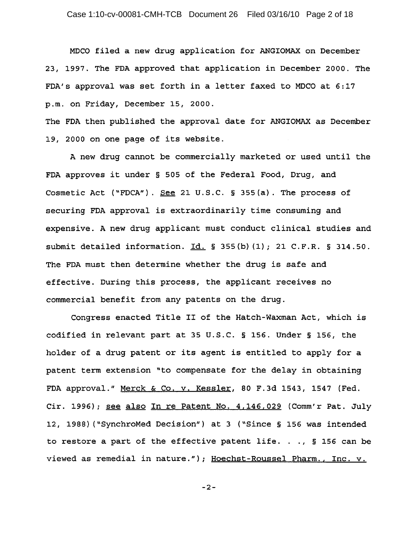MDCO filed a new drug application for ANGIOMAX on December 23, 1997. The FDA approved that application in December 2000. The FDA's approval was set forth in a letter faxed to MDCO at 6:17 p.m. on Friday, December 15, 2000.

The FDA then published the approval date for ANGIOMAX as December 19, 2000 on one page of its website.

A new drug cannot be commercially marketed or used until the FDA approves it under § 505 of the Federal Food, Drug, and Cosmetic Act ("FDCA"). See 21 U.S.C. § 355(a}. The process of securing FDA approval is extraordinarily time consuming and expensive. A new drug applicant must conduct clinical studies and submit detailed information.  $Id. \S$  355(b)(1); 21 C.F.R. § 314.50. The FDA must then determine whether the drug is safe and effective. During this process, the applicant receives no commercial benefit from any patents on the drug.

Congress enacted Title II of the Hatch-Waxman Act, which is codified in relevant part at 35 U.S.C. § 156. Under § 156, the holder of a drug patent or its agent is entitled to apply for a patent term extension "to compensate for the delay in obtaining FDA approval." Merck & Co. v. Kessler, 80 F.3d 1543, 1547 (Fed. Cir. 1996); <u>see also In re Patent No. 4,146,029</u> (Comm'r Pat. July 12, 198B) ("SynchroMed Decision") at 3 ("Since § 156 was intended to restore a part of the effective patent life. . .,  $\S$  156 can be viewed as remedial in nature.") *i* Hoechst-Roussel Pharm., Inc. v.

-2-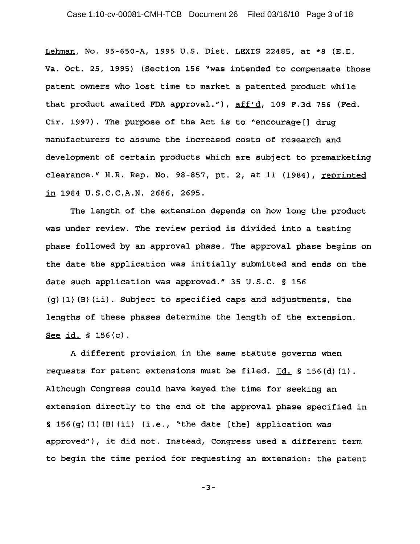Lehman, No. 95-650-A, 1995 U.S. Dist. LEXIS 22485, at \*8 (E.D. Va. Oct. 25, 1995) (Section 156 "was intended to compensate those patent owners who lost time to market a patented product while that product awaited FDA approval."),  $aff'd$ , 109 F.3d 756 (Fed. Cir. 1997). The purpose of the Act is to "encourage[] drug manufacturers to assume the increased costs of research and development of certain products which are subject to premarketing clearance." H.R. Rep. No. 98-857, pt. 2, at 11 (1984), reprinted in 1984 U.S.C.C.A.N. 2686, 2695.

The length of the extension depends on how long the product was under review. The review period is divided into a testing phase followed by an approval phase. The approval phase begins on the date the application was initially submitted and ends on the date such application was approved." 35 U.S.C. § 156 (g) (I) (B) (ii). Subject to specified caps and adjustments, the lengths of these phases determine the length of the extension. See id. § 156{c).

A different provision in the same statute governs when requests for patent extensions must be filed.  $Id. \S 156(d) (1)$ . Although Congress could have keyed the time for seeking an extension directly to the end of the approval phase specified in § 156{g) (I) (B) (ii) (i.e., "the date [the] application was approved"), it did not. Instead, Congress used a different term to begin the time period for requesting an extension: the patent

-3-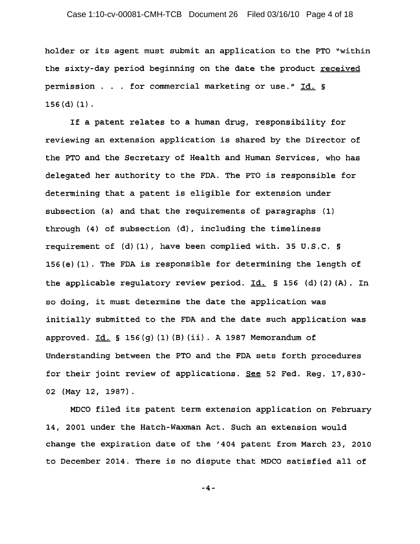holder or its agent must submit an application to the PTO "within the sixty-day period beginning on the date the product received permission . . . for commercial marketing or use." Id. §  $156$  (d) (1).

If a patent relates to a human drug, responsibility for reviewing an extension application *is* shared by the Director of the PTO and the Secretary of Health and Human Services, who has delegated her authority to the FDA. The PTO is responsible for determining that a patent *is* eligible for extension under subsection (a) and that the requirements of paragraphs (1) through (4) of subsection (d), including the timeliness requirement of (d) (1), have been complied with. 35 U.S.C. § 156(e) (1). The FDA *is* responsible for determining the length of the applicable regulatory review period.  $Id.$  § 156 (d) (2) (A). In so doing, it must determine the date the application was initially submitted to the FDA and the date such application was approved.  $Id. \S 156(g) (1) (B) (ii)$ . A 1987 Memorandum of Understanding between the PTO and the FDA sets forth procedures for their joint review of applications. See 52 Fed. Reg. 17,830- 02 (May 12, 1987).

MDCO filed its patent term extension application on February 14, 2001 under the Hatch-Waxman Act. Such an extension would change the expiration date of the '404 patent from March 23, 2010 to December 2014. There is no dispute that MDCO satisfied all of

-4-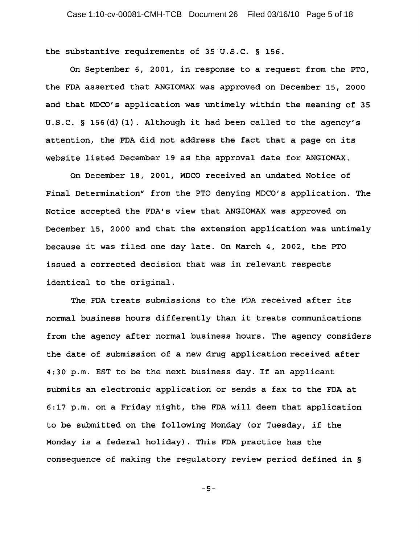the substantive requirements of  $35^\circ$ U.S.C. § 156.

On September 6, 2001, in response to a request from the PTO, the FDA asserted that ANGIOMAX was approved on December 15, 2000 and that MDCO's application was untimely within the meaning of 35 U.S.C. § 156(d} (1). Although it had been called to the agency's attention, the FDA did not address the fact that a page on its website listed December 19 as the approval date for ANGIOMAX.

On December 18, 2001, MDCO received an undated Notice of Final Determination" from the PTO denying MDCO's application. The Notice accepted the FDA's view that ANGIOMAX was approved on December 15, 2000 and that the extension application was untimely because it was filed one day late. On March 4, 2002, the PTO issued a corrected decision that was in relevant respects identical to the original.

The FDA treats submissions to the FDA received after its normal business hours differently than it treats communications from the agency after normal business hours. The agency considers the date of submission of a new drug application received after 4:30 p.m. EST to be the next business day. If an applicant submits an electronic application or sends a fax to the FDA at 6:17 p.m. on a Friday night, the FDA will deem that application to be submitted on the following Monday (or Tuesday, if the Monday is a federal holiday). This FDA practice has the consequence of making the regulatory review period defined in §

-5-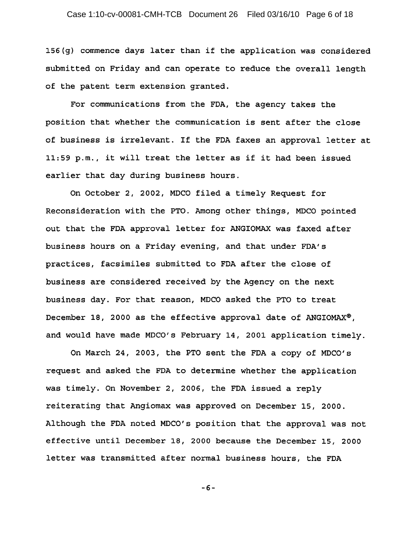$156(q)$  commence days later than if the application was considered submitted on Friday and can operate to reduce the overall length of the patent term extension granted.

For communications from the FDA, the agency takes the position that whether the communication is sent after the close of business is irrelevant. If the FDA faxes an approval letter at 11:59 p.m., it will treat the letter as if it had been issued earlier that day during business hours.

On October 2, 2002, MDCO filed a timely Request for Reconsideration with the PTO. Among other things, MDCO pointed out that the FDA approval letter for ANGIOMAX was faxed after business hours on a Friday evening, and that under FDA's practices, facsimiles submitted to FDA after the close of business are considered received by the Agency on the next business day. For that reason, MDCO asked the PTO to treat December 18, 2000 as the effective approval date of ANGIOMAX<sup>®</sup>. and would have made *MDCO's February 14, 2001* application timely.

On March 24, 2003, the PTO sent the FDA a copy of *MDCO's* request and asked the FDA to determine whether the application was timely. On November 2, 2006, the FDA issued a reply reiterating that Angiomax was approved on December *15 1 2000.*  Although the FDA noted *MDCO/s* position that the approval was not effective until December *18 <sup>1</sup>*2000 because the December *<sup>15</sup> 1 2000*  letter was transmitted after normal business hours, the FDA

-6-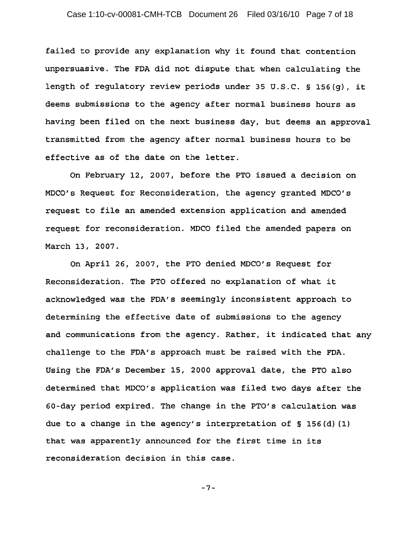failed to provide any explanation why it found that contention unpersuasive. The FDA did not dispute that when calculating the length of regulatory review periods under 35 U.S.C. § 156(g), it deems submissions to the agency after normal business hours as having been filed on the next business day, but deems an approval transmitted from the agency after normal business hours to be effective as of the date on the letter.

On February 12, 2007, before the PTO issued a decision on MDCO's Request for Reconsideration, the agency granted MDCO's request to file an amended extension application and amended request for reconsideration. MDCO filed the amended papers on March 13, 2007.

On April 26, 2007, the PTO denied MDCO's Request for Reconsideration. The PTO offered no explanation of what it acknowledged was the FDA's seemingly inconsistent approach to determining the effective date of submissions to the agency and communications from the agency. Rather, it indicated that any challenge to the FDA's approach must be raised with the FDA. Using the FDA's December IS, 2000 approval date, the PTO also determined that MDCO's application was filed two days after the 60-day period expired. The change in the PTO's calculation was due to a change in the agency's interpretation of § 156(d) (1) that was apparently announced for the first time in its reconsideration decision in this case.

-7-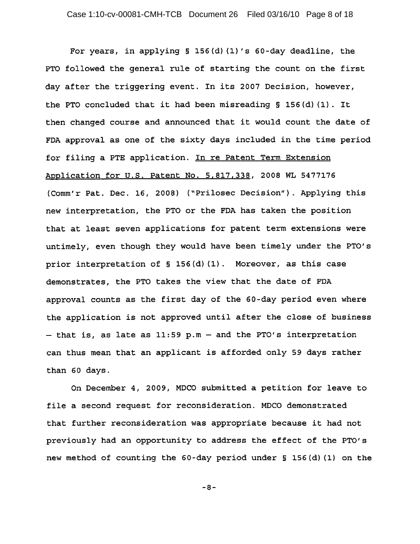For years, in applying § 156(d) (1) 's 60-day deadline, the PTO followed the general rule of starting the count on the first day after the triggering event. In its 2007 Decision, however, the PTO concluded that it had been misreading § 156(d) (1). It then changed course and announced that it would count the date of FDA approval as one of the sixty days included in the time period for filing a PTE application. In re Patent Term Extension Application for U.S. Patent No. 5,817,338, 2008 WL 5477176 (Comm'r Pat. Dec. 16, 2008) ("Prilosec Decision"). Applying this new interpretation, the PTO or the FDA has taken the position that at least seven applications for patent term extensions were untimely, even though they would have been timely under the PTO's prior interpretation of § 156(d) (1). Moreover, as this case demonstrates, the PTO takes the view that the date of FDA approval counts as the first day of the 60-day period even where the application is not approved until after the close of business  $-$  that is, as late as 11:59 p.m  $-$  and the PTO's interpretation can thus mean that an applicant is afforded only 59 days rather than 60 days.

On December 4, 2009, MDCO submitted a petition for leave to file a second request for reconsideration. MDCO demonstrated that further reconsideration was appropriate because it had not previously had an opportunity to address the effect of the PTO's new method of counting the 60-day period under § 156(d) (1) on the

-8-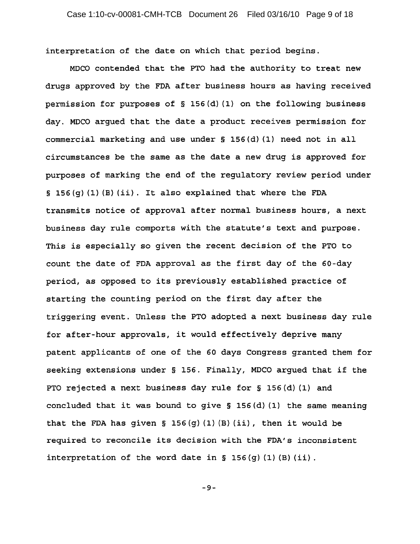interpretation of the date on which that period begins.

MDCO contended that the PTO had the authority to treat new drugs approved by the FDA after business hours as having received permission for purposes of § 156(d) (1) on the following business day. MDCO argued that the date a product receives permission for commercial marketing and use under § 156(d) (1) need not in all circumstances be the same as the date a new drug is approved for purposes of marking the end of the regulatory review period under  $\S$  156(g) (1) (B) (ii). It also explained that where the FDA transmits notice of approval after normal business hours, a next business day rule comports with the statute's text and purpose. This is especially so given the recent decision of the PTO to count the date of FDA approval as the first day of the 60-day period, as opposed to its previously established practice of starting the counting period on the first day after the triggering event. Unless the PTO adopted a next business day rule for after-hour approvals, it would effectively deprive many patent applicants of one of the 60 days Congress granted them for seeking extensions under § 156. Finally, MDCO argued that if the PTO rejected a next business day rule for § 156(d) (1) and concluded that it was bound to give § 156(d) (1) the same meaning that the FDA has given § 156(q)(1)(B)(ii), then it would be required to reconcile its decision with the FDA's inconsistent interpretation of the word date in  $\S$  156(g)(1)(B)(ii).

-9-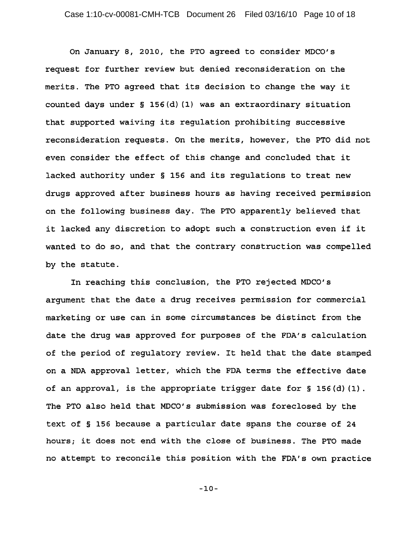On January 8, 2010, the PTO agreed to consider MDCO's request for further review but denied reconsideration on the merits. The PTO agreed that its decision to change the way it counted days under § 156(d) (1) was an extraordinary situation that supported waiving its regulation prohibiting successive reconsideration requests. On the merits, however, the PTO did not even consider the effect of this change and concluded that it lacked authority under § 156 and its regulations to treat new drugs approved after business hours as having received permission on the following business day. The PTO apparently believed that it lacked any discretion to adopt such a construction even if it wanted to do so, and that the contrary construction was compelled by the statute.

In reaching this conclusion, the PTO rejected MDCO's argument that the date a drug receives permission for commercial marketing or use can in some circumstances be distinct from the date the drug was approved for purposes of the FDA's calculation of the period of regulatory review. It held that the date stamped on a NDA approval letter, which the FDA terms the effective date of an approval, is the appropriate trigger date for § 156(d) (1). The PTO also held that MDCO's submission was foreclosed by the text of § 156 because a particular date spans the course of 24 hours; it does not end with the close of business. The PTO made no attempt to reconcile this position with the FDA's own practice

-10-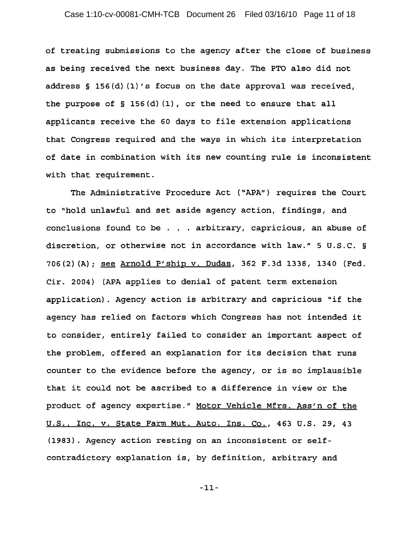of treating submissions to the agency after the close of business as being received the next business day. The PTO also did not address § 156(d} (l}'s focus on the date approval was received, the purpose of § 156(d) (I), or the need to ensure that all applicants receive the 60 days to file extension applications that Congress required and the ways in which its interpretation of date in combination with its new counting rule is inconsistent with that requirement.

The Administrative Procedure Act ("APA") requires the Court to "hold unlawful and set aside agency action, findings, and conclusions found to be . . . arbitrary, capricious, an abuse of discretion, or otherwise not in accordance with law." 5 U.S.C. § 706(2)(A); see Arnold P'ship v. Dudas, 362 F.3d 1338, 1340 (Fed. Cir. 2004) (APA applies to denial of patent term extension application). Agency action is arbitrary and capricious "if the agency has relied on factors which Congress has not intended it to consider, entirely failed to consider an important aspect of the problem, offered an explanation for its decision that runs counter to the evidence before the agency, or is so implausible that it could not be ascribed to a difference in view or the product of agency expertise." Motor Vehicle Mfrs. Ass'n of the U.S., Inc. v. State Farm Mut. Auto. Ins. Co., 463 U.S. 29, 43 (1983). Agency action resting on an inconsistent or selfcontradictory explanation is, by definition, arbitrary and

-11-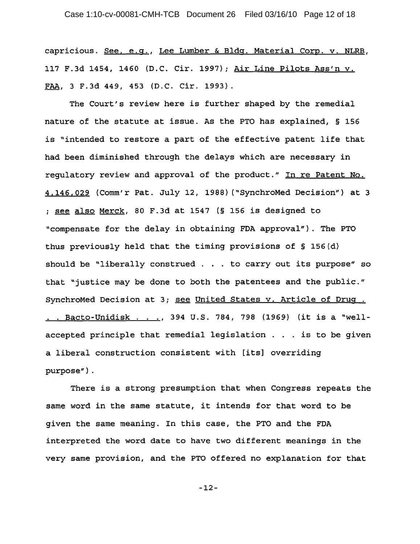capricious. See, e.g., Lee Lumber & Bldg. Material Corp. v. NLRB, 117 F.3d 1454, 1460 (D.C. Cir. 1997); Air Line Pilots Ass'n v. FAA, 3 F.3d 449, 453 (D.C. Cir. 1993).

The Court's review here is further shaped by the remedial nature of the statute at issue. As the PTO has explained, § 156 is "intended to restore a part of the effective patent life that had been diminished through the delays which are necessary in regulatory review and approval of the product." In re Patent No. 4,146,029 (Comm'r Pat. July 12, 1988) ("SynchroMed Decision") at 3 ; see also Merck, 80 F.3d at 1547 (§ 156 is designed to "compensate for the delay in obtaining FDA approval"). The PTO thus previously held that the timing provisions of § 156(d} should be "liberally construed . . . to carry out its purpose" so that "justice may be done to both the patentees and the public." SynchroMed Decision at 3; see United States v. Article of Drug . . . Bacto-Unidisk ... , 394 U.S. 784, 798 (1969) (it is a "wellaccepted principle that remedial legislation . . . is to be given a liberal construction consistent with [its] overriding purpose") .

There is a strong presumption that when Congress repeats the same word in the same statute, it intends for that word to be given the same meaning. In this case, the PTO and the FDA interpreted the word date to have two different meanings in the very same provision, and the PTO offered no explanation for that

-12-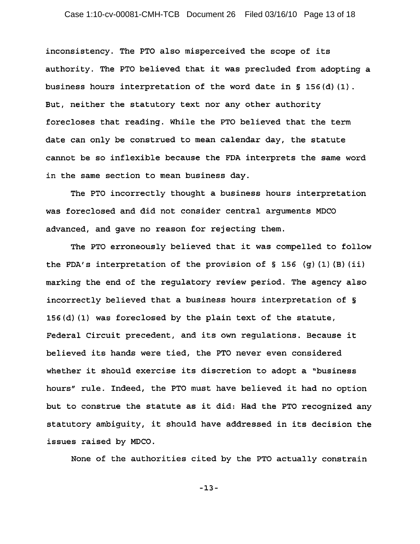inconsistency. The PTO also misperceived the scope of its authority. The PTO believed that it was precluded from adopting a business hours interpretation of the word date *in* § 156(d) (1). But, neither the statutory text nor any other authority forecloses that reading. While the PTO believed that the term date can only be construed to mean calendar day, the statute cannot be so inflexible because the FDA interprets the same word in the same section to mean business day.

The PTO incorrectly thought a business hours interpretation was foreclosed and did not consider central arguments MDCO advanced, and gave no reason for rejecting them.

The PTO erroneously believed that it was compelled to follow the FDA's interpretation of the provision of § 156 (g) (1) (B) *(ii)*  marking the end of the regulatory review period. The agency also incorrectly believed that a business hours interpretation of § 156(d) (1) was foreclosed by the plain text of the statute, Federal Circuit precedent, and its own regulations. Because it believed its hands were tied, the PTO never even considered whether it should exercise its discretion to adopt a "business hours" rule. Indeed, the PTO must have believed it had no option but to construe the statute as it did: Had the PTO recognized any statutory ambiguity, it should have addressed *in* its decision the issues raised by MDCO.

None of the authorities cited by the PTO actually constrain

-13-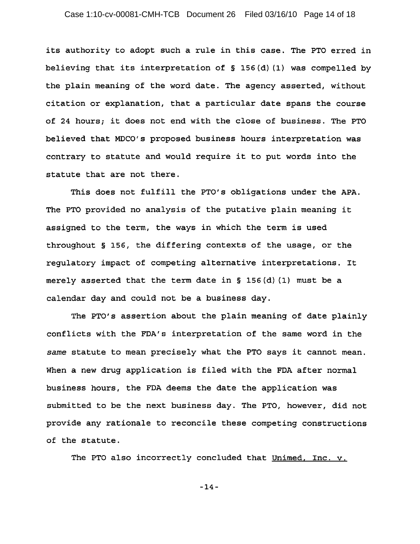## Case 1:10-cv-00081-CMH-TCB Document 26 Filed 03/16/10 Page 14 of 18

its authority to adopt such a rule in this case. The PTO erred in believing that its interpretation of § 156{d) (1) was compelled by the plain meaning of the word date. The agency asserted, without citation or explanation, that a particular date spans the course of 24 hours; it does not end with the close of business. The PTO believed that MDCO's proposed business hours interpretation was contrary to statute and would require it to put words into the statute that are not there.

This does not fulfill the PTO's obligations under the APA. The PTO provided no analysis of the putative plain meaning it assigned to the term, the ways in which the term is used throughout § 156, the differing contexts of the usage, or the regulatory impact of competing alternative interpretations. It merely asserted that the term date in  $\S$  156(d)(1) must be a calendar day and could not be a business day.

The PTO's assertion about the plain meaning of date plainly conflicts with the FDA's interpretation of the same word in the *same* statute to mean precisely what the PTO says it cannot mean. When a new drug application is filed with the FDA after normal business hours, the FDA deems the date the application was submitted to be the next business day. The PTO, however, did not provide any rationale to reconcile these competing constructions of the statute.

The PTO also incorrectly concluded that Unimed, Inc. v.

-14-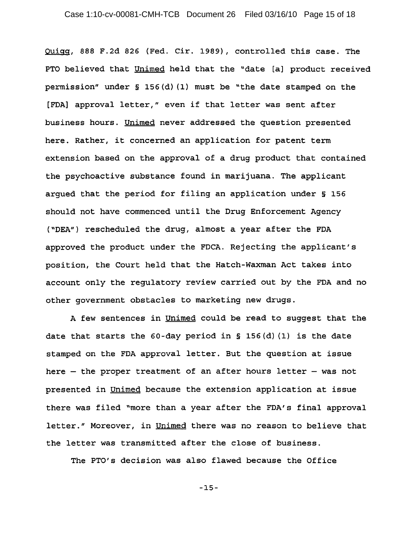Ouigg, 888 F.2d 826 (Fed. Cir. 1989), controlled this case. The PTO believed that Unimed held that the "date [a] product received permission" under § 156(d) (1) must be "the date stamped on the [FDA] approval letter," even if that letter was sent after business hours. Unimed never addressed the question presented here. Rather, it concerned an application for patent term extension based on the approval of a drug product that contained the psychoactive substance found in marijuana. The applicant argued that the period for filing an application under § 156 should not have commenced until the Drug Enforcement Agency ("DEA") rescheduled the drug, almost a year after the FDA approved the product under the FDCA. Rejecting the applicant's position, the Court held that the Hatch-Waxman Act takes into account only the regulatory review carried out by the FDA and no other government obstacles to marketing new drugs.

A few sentences in Unimed could be read to suqqest that the date that starts the  $60$ -day period in § 156(d)(1) is the date stamped on the FDA approval letter. But the question at issue here  $-$  the proper treatment of an after hours letter  $-$  was not presented in Unimed because the extension application at issue there was filed "more than a year after the FDA's final approval letter." Moreover, in Unimed there was no reason to believe that the letter was transmitted after the close of business.

The PTO's decision was also flawed because the Office

-15-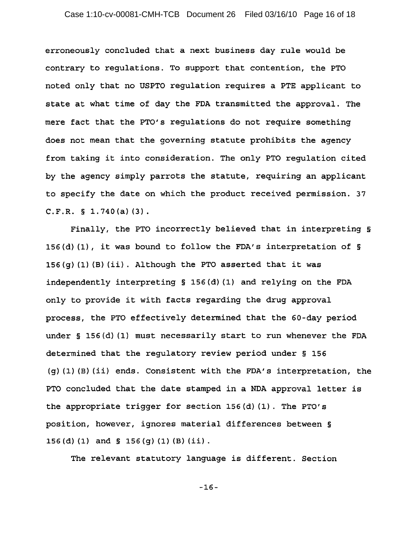erroneously concluded that a next business day rule would be contrary to regulations. To support that contention, the PTO noted only that no USPTO regulation requires a PTE applicant to state at what time of day the FDA transmitted the approval. The mere fact that the PTO's regulations do not require something does not mean that the governing statute prohibits the agency from taking it into consideration. The only PTO regulation cited by the agency simply parrots the statute, requiring an applicant to specify the date on which the product received permission. 37 C.F.R. § 1.740(a) (3).

Finally, the PTO incorrectly believed that in interpreting § 156(d) (1), it was bound to follow the FDA's interpretation of § 156(g) (1) (B) *(ii).* Although the PTO asserted that it was independently interpreting § 156{d) (I) and relying on the FDA only to provide it with facts regarding the drug approval process, the PTO effectively determined that the 60-day period under § 156(d) (1) must necessarily start to run whenever the FDA determined that the regulatory review period under § 156 (g) (I) (B) *(ii)* ends. Consistent with the FDA's interpretation, the PTO concluded that the date stamped *in* a NDA approval letter *is*  the appropriate trigger for section 156{d) (1). The PTO's position, however, ignores material differences between § 156 (d) (1) and  $\S$  156 (q) (1) (B) (ii).

The relevant statutory language *is* different. Section

-16-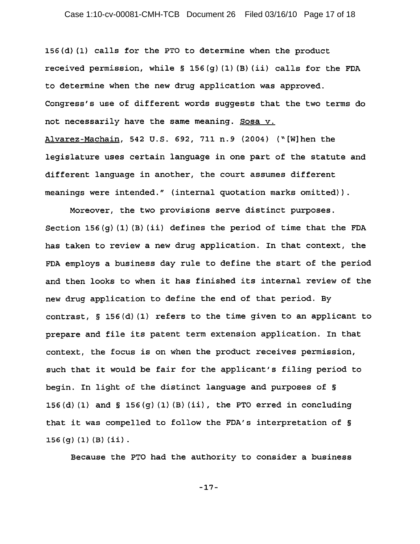## Case 1:10-cv-00081-CMH-TCB Document 26 Filed 03/16/10 Page 17 of 18

156(d} (I) calls for the PTO to determine when the product received permission, while  $\S$  156(q)(1)(B)(ii) calls for the FDA to determine when the new drug application was approved. Congress's use of different words suggests that the two terms do not necessarily have the same meaning. Sosa v. Alvarez-Machain, 542 U.S. 692, 711 n.9 (2004) ("[W]hen the legislature uses certain language in one part of the statute and different language in another, the court assumes different meanings were intended." (internal quotation marks omitted)}.

Moreover, the two provisions serve distinct purposes. Section 156(g)  $(1)$  (B)  $(i)$  defines the period of time that the FDA has taken to review a new drug application. In that context, the FDA employs a business day rule to define the start of the period and then looks to when it has finished its internal review of the new drug application to define the end of that period. By contrast, § 156(d} (I) refers to the time given to an applicant to prepare and file its patent term extension application. In that context, the focus is on when the product receives permission, such that it would be fair for the applicant's filing period to begin. In light of the distinct language and purposes of § 156 $(d)$  (1) and § 156 $(g)$  (1) (B) (ii), the PTO erred in concluding that it was compelled to follow the FDA's interpretation of § 156 (g) (1) (B) (ii) .

Because the PTO had the authority to consider a business

-17-